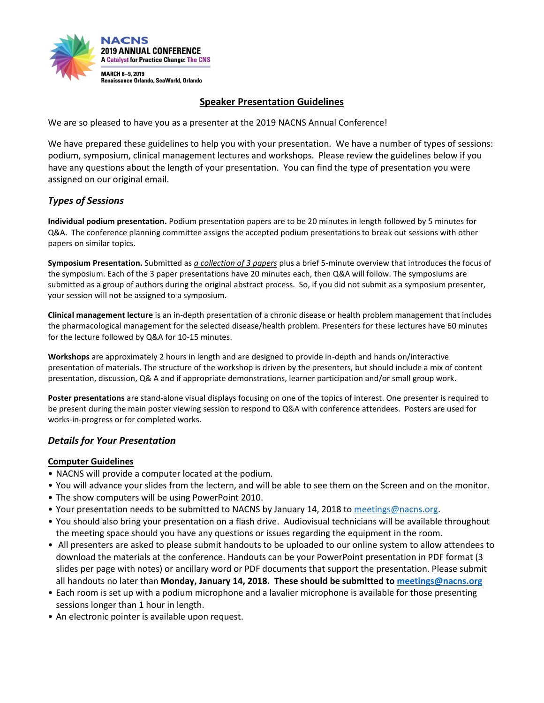

## **Speaker Presentation Guidelines**

We are so pleased to have you as a presenter at the 2019 NACNS Annual Conference!

We have prepared these guidelines to help you with your presentation. We have a number of types of sessions: podium, symposium, clinical management lectures and workshops. Please review the guidelines below if you have any questions about the length of your presentation. You can find the type of presentation you were assigned on our original email.

# *Types of Sessions*

**Individual podium presentation.** Podium presentation papers are to be 20 minutes in length followed by 5 minutes for Q&A. The conference planning committee assigns the accepted podium presentations to break out sessions with other papers on similar topics.

**Symposium Presentation.** Submitted as *a collection of 3 papers* plus a brief 5-minute overview that introduces the focus of the symposium. Each of the 3 paper presentations have 20 minutes each, then Q&A will follow. The symposiums are submitted as a group of authors during the original abstract process. So, if you did not submit as a symposium presenter, your session will not be assigned to a symposium.

**Clinical management lecture** is an in-depth presentation of a chronic disease or health problem management that includes the pharmacological management for the selected disease/health problem. Presenters for these lectures have 60 minutes for the lecture followed by Q&A for 10-15 minutes.

**Workshops** are approximately 2 hours in length and are designed to provide in-depth and hands on/interactive presentation of materials. The structure of the workshop is driven by the presenters, but should include a mix of content presentation, discussion, Q& A and if appropriate demonstrations, learner participation and/or small group work.

**Poster presentations** are stand-alone visual displays focusing on one of the topics of interest. One presenter is required to be present during the main poster viewing session to respond to Q&A with conference attendees. Posters are used for works-in-progress or for completed works.

### *Details for Your Presentation*

### **Computer Guidelines**

- NACNS will provide a computer located at the podium.
- You will advance your slides from the lectern, and will be able to see them on the Screen and on the monitor.
- The show computers will be using PowerPoint 2010.
- Your presentation needs to be submitted to NACNS by January 14, 2018 t[o meetings@nacns.org.](mailto:meetings@nacns.org)
- You should also bring your presentation on a flash drive. Audiovisual technicians will be available throughout the meeting space should you have any questions or issues regarding the equipment in the room.
- All presenters are asked to please submit handouts to be uploaded to our online system to allow attendees to download the materials at the conference. Handouts can be your PowerPoint presentation in PDF format (3 slides per page with notes) or ancillary word or PDF documents that support the presentation. Please submit all handouts no later than **Monday, January 14, 2018. These should be submitted t[o meetings@nacns.org](mailto:events@nacns.org)**
- Each room is set up with a podium microphone and a lavalier microphone is available for those presenting sessions longer than 1 hour in length.
- An electronic pointer is available upon request.